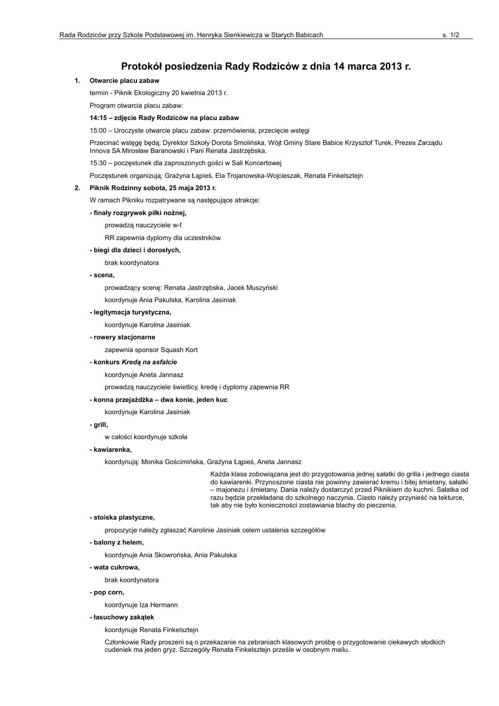# Protokół posiedzenia Rady Rodziców z dnia 14 marca 2013 r.

# 1. Otwarcie placu zabaw

termin - Piknik Ekologiczny 20 kwietnia 2013 r.

Program otwarcia placu zabaw:

# 14:15 - zdjęcie Rady Rodziców na placu zabaw

15:00 - Uroczyste otwarcie placu zabaw: przemówienia, przecięcie wstęgi

Przecinać wstęgę będą: Dyrektor Szkoły Dorota Smolińska, Wójt Gminy Stare Babice Krzysztof Turek, Prezes Zarzadu Innova SA Mirosław Baranowski i Pani Renata Jastrzębska.

15:30 - poczęstunek dla zaproszonych gości w Sali Koncertowej

Poczęstunek organizują: Grażyna Łąpieś, Ela Trojanowska-Wojcieszak, Renata Finkelsztejn

# 2. Piknik Rodzinny sobota, 25 maja 2013 r.

W ramach Pikniku rozpatrywane są następujące atrakcje:

# - finały rozgrywek piłki nożnej,

prowadzą nauczyciele w-f

RR zapewnia dyplomy dla uczestników

# - biegi dla dzieci i dorosłych,

brak koordynatora

### - scena.

prowadzący scenę: Renata Jastrzębska, Jacek Muszyński

koordynuje Ania Pakulska, Karolina Jasiniak

#### - legitymacja turystyczna,

koordynuje Karolina Jasiniak

- rowery stacjonarne

zapewnia sponsor Squash Kort

# - konkurs Kredą na asfalcie

koordynuje Aneta Jannasz

prowadzą nauczyciele świetlicy, kredę i dyplomy zapewnia RR

# - konna przejażdżka – dwa konie, jeden kuc

koordynuie Karolina Jasiniak

# - grill,

w całości koordynuje szkoła

### - kawiarenka,

koordynuja: Monika Gościmińska, Grażyna Łąpieś, Aneta Jannasz

Każda klasa zobowiązana jest do przygotowania jednej sałatki do grilla i jednego ciasta do kawiarenki. Przynoszone ciasta nie powinny zawierać kremu i bitej śmietany, sałatki - majonezu i śmietany. Dania należy dostarczyć przed Piknikiem do kuchni. Sałatka od razu będzie przekładana do szkolnego naczynia. Ciasto należy przynieść na tekturce, tak aby nie było konieczności zostawiania blachy do pieczenia.

# - stoiska plastyczne,

propozycje należy zgłaszać Karolinie Jasiniak celem ustalenia szczegółów

- balony z helem,

koordynuje Ania Skowrońska, Ania Pakulska

- wata cukrowa.

brak koordynatora

- pop corn,

koordynuje Iza Hermann

- łasuchowy zakątek

koordynuje Renata Finkelsztejn

Członkowie Rady proszeni są o przekazanie na zebraniach klasowych prośbę o przygotowanie ciekawych słodkich cudeniek ma jeden gryz. Szczegóły Renata Finkelsztejn prześle w osobnym mailu.